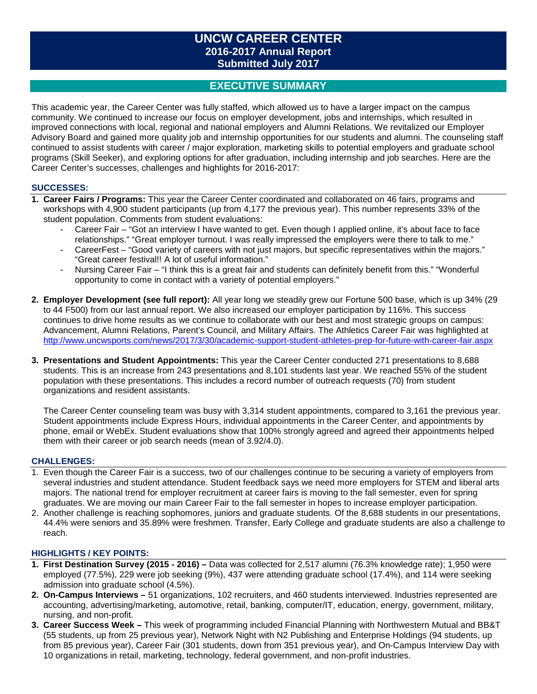# **UNCW CAREER CENTER 2016-2017 Annual Report Submitted July 2017**

# **EXECUTIVE SUMMARY**

This academic year, the Career Center was fully staffed, which allowed us to have a larger impact on the campus community. We continued to increase our focus on employer development, jobs and internships, which resulted in improved connections with local, regional and national employers and Alumni Relations. We revitalized our Employer Advisory Board and gained more quality job and internship opportunities for our students and alumni. The counseling staff continued to assist students with career / major exploration, marketing skills to potential employers and graduate school programs (Skill Seeker), and exploring options for after graduation, including internship and job searches. Here are the Career Center's successes, challenges and highlights for 2016-2017:

### **SUCCESSES:**

- **1. Career Fairs / Programs:** This year the Career Center coordinated and collaborated on 46 fairs, programs and workshops with 4,900 student participants (up from 4,177 the previous year). This number represents 33% of the student population. Comments from student evaluations:
	- Career Fair "Got an interview I have wanted to get. Even though I applied online, it's about face to face relationships." "Great employer turnout. I was really impressed the employers were there to talk to me."
	- CareerFest "Good variety of careers with not just majors, but specific representatives within the majors." "Great career festival!! A lot of useful information."
	- Nursing Career Fair "I think this is a great fair and students can definitely benefit from this." "Wonderful opportunity to come in contact with a variety of potential employers."
- **2. Employer Development (see full report):** All year long we steadily grew our Fortune 500 base, which is up 34% (29 to 44 F500) from our last annual report. We also increased our employer participation by 116%. This success continues to drive home results as we continue to collaborate with our best and most strategic groups on campus: Advancement, Alumni Relations, Parent's Council, and Military Affairs. The Athletics Career Fair was highlighted at <http://www.uncwsports.com/news/2017/3/30/academic-support-student-athletes-prep-for-future-with-career-fair.aspx>
- **3. Presentations and Student Appointments:** This year the Career Center conducted 271 presentations to 8,688 students. This is an increase from 243 presentations and 8,101 students last year. We reached 55% of the student population with these presentations. This includes a record number of outreach requests (70) from student organizations and resident assistants.

The Career Center counseling team was busy with 3,314 student appointments, compared to 3,161 the previous year. Student appointments include Express Hours, individual appointments in the Career Center, and appointments by phone, email or WebEx. Student evaluations show that 100% strongly agreed and agreed their appointments helped them with their career or job search needs (mean of 3.92/4.0).

#### **CHALLENGES:**

- 1. Even though the Career Fair is a success, two of our challenges continue to be securing a variety of employers from several industries and student attendance. Student feedback says we need more employers for STEM and liberal arts majors. The national trend for employer recruitment at career fairs is moving to the fall semester, even for spring graduates. We are moving our main Career Fair to the fall semester in hopes to increase employer participation.
- 2. Another challenge is reaching sophomores, juniors and graduate students. Of the 8,688 students in our presentations, 44.4% were seniors and 35.89% were freshmen. Transfer, Early College and graduate students are also a challenge to reach.

#### **HIGHLIGHTS / KEY POINTS:**

- **1. First Destination Survey (2015 - 2016) –** Data was collected for 2,517 alumni (76.3% knowledge rate); 1,950 were employed (77.5%), 229 were job seeking (9%), 437 were attending graduate school (17.4%), and 114 were seeking admission into graduate school (4.5%).
- **2. On-Campus Interviews –** 51 organizations, 102 recruiters, and 460 students interviewed. Industries represented are accounting, advertising/marketing, automotive, retail, banking, computer/IT, education, energy, government, military, nursing, and non-profit.
- **3. Career Success Week –** This week of programming included Financial Planning with Northwestern Mutual and BB&T (55 students, up from 25 previous year), Network Night with N2 Publishing and Enterprise Holdings (94 students, up from 85 previous year), Career Fair (301 students, down from 351 previous year), and On-Campus Interview Day with 10 organizations in retail, marketing, technology, federal government, and non-profit industries.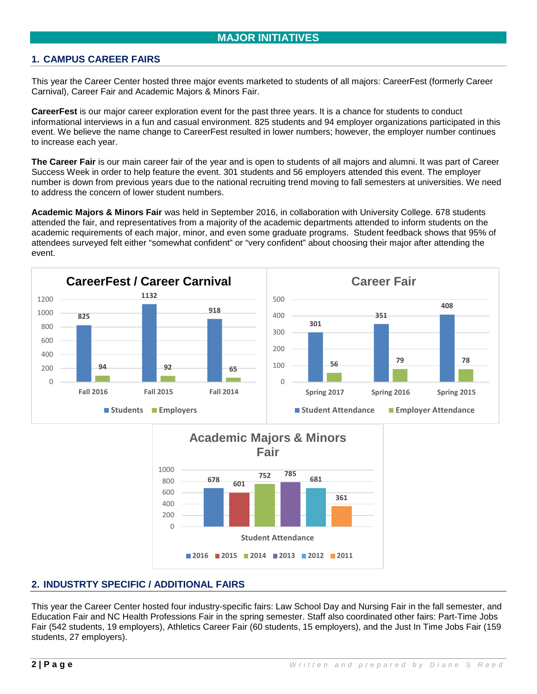# **1. CAMPUS CAREER FAIRS**

This year the Career Center hosted three major events marketed to students of all majors: CareerFest (formerly Career Carnival), Career Fair and Academic Majors & Minors Fair.

**CareerFest** is our major career exploration event for the past three years. It is a chance for students to conduct informational interviews in a fun and casual environment. 825 students and 94 employer organizations participated in this event. We believe the name change to CareerFest resulted in lower numbers; however, the employer number continues to increase each year.

**The Career Fair** is our main career fair of the year and is open to students of all majors and alumni. It was part of Career Success Week in order to help feature the event. 301 students and 56 employers attended this event. The employer number is down from previous years due to the national recruiting trend moving to fall semesters at universities. We need to address the concern of lower student numbers.

**Academic Majors & Minors Fair** was held in September 2016, in collaboration with University College. 678 students attended the fair, and representatives from a majority of the academic departments attended to inform students on the academic requirements of each major, minor, and even some graduate programs. Student feedback shows that 95% of attendees surveyed felt either "somewhat confident" or "very confident" about choosing their major after attending the event.





# **2. INDUSTRTY SPECIFIC / ADDITIONAL FAIRS**

This year the Career Center hosted four industry-specific fairs: Law School Day and Nursing Fair in the fall semester, and Education Fair and NC Health Professions Fair in the spring semester. Staff also coordinated other fairs: Part-Time Jobs Fair (542 students, 19 employers), Athletics Career Fair (60 students, 15 employers), and the Just In Time Jobs Fair (159 students, 27 employers).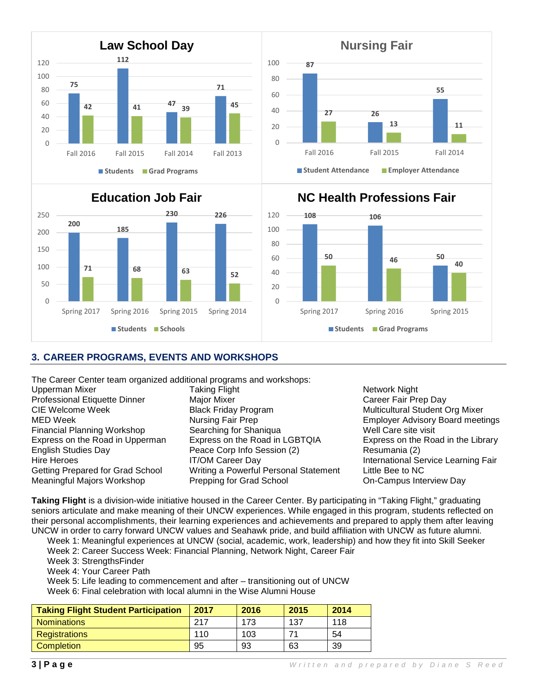



# **Education Job Fair**



# **108 106 <sup>50</sup> <sup>50</sup> <sup>46</sup> <sup>40</sup>**  $\Omega$ 20 40 60 80 100 120 Spring 2017 Spring 2016 Spring 2015 **Students Grad Programs**

**NC Health Professions Fair**

# **3. CAREER PROGRAMS, EVENTS AND WORKSHOPS**

The Career Center team organized additional programs and workshops:<br>Upperman Mixer Taking Flight

English Studies Day Peace Corp Info Session (2)

Upperman Mixer **Network 1988** Taking Flight Network Night Network Night Professional Etiquette Dinner Major Mixer Career Fair Prep Day<br>CIE Welcome Week **CIE** Melome Week Black Friday Program Multicultural Student ( CIE Welcome Week **Black Friday Program** Multicultural Student Org Mixer<br>MED Week Mursing Fair Prep Mursing Student Org Mixer Nursing Fair Prep **Employer Advisory Board meetings**<br>
Searching for Shaniqua **Employer Advisory Board meetings** Financial Planning Workshop Searching for Shaniqua Well Care site visit<br>
Express on the Road in Upperman Express on the Road in LGBTOIA Express on the Road in the Library Express on the Road in Upperman Express on the Road in LGBTQIA Express on the English Studies Day **Express on the Road in the Library Conduct** English Studies Day Hire Heroes **IT/OM Career Day** International Service Learning Fair<br>Getting Prepared for Grad School Writing a Powerful Personal Statement Little Bee to NC Writing a Powerful Personal Statement Meaningful Majors Workshop Prepping for Grad School On-Campus Interview Day

**Taking Flight** is a division-wide initiative housed in the Career Center. By participating in "Taking Flight," graduating seniors articulate and make meaning of their UNCW experiences. While engaged in this program, students reflected on their personal accomplishments, their learning experiences and achievements and prepared to apply them after leaving UNCW in order to carry forward UNCW values and Seahawk pride, and build affiliation with UNCW as future alumni.

Week 1: Meaningful experiences at UNCW (social, academic, work, leadership) and how they fit into Skill Seeker

- Week 2: Career Success Week: Financial Planning, Network Night, Career Fair
- Week 3: StrengthsFinder
- Week 4: Your Career Path

Week 5: Life leading to commencement and after – transitioning out of UNCW

Week 6: Final celebration with local alumni in the Wise Alumni House

| <b>Taking Flight Student Participation</b> | 2017 | 2016 | 2015 | 2014 |
|--------------------------------------------|------|------|------|------|
| <b>Nominations</b>                         | 217  | 173  | 137  | 118  |
| <b>Registrations</b>                       | 110  | 103  |      | 54   |
| <b>Completion</b>                          | 95   | 93   | 63   | 39   |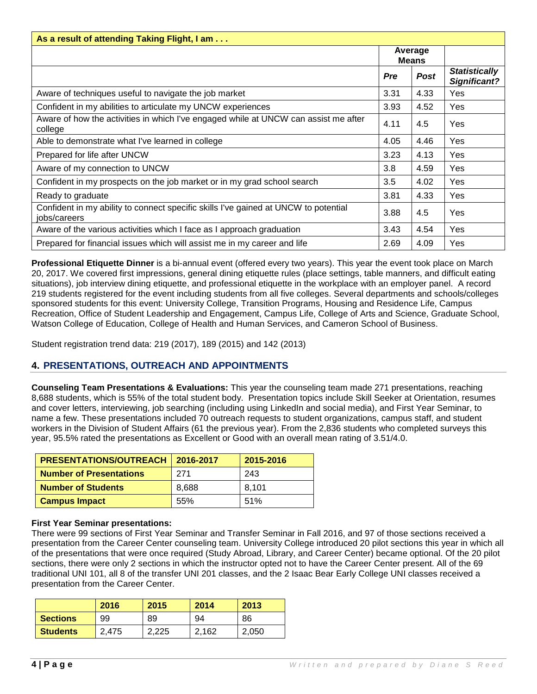| As a result of attending Taking Flight, I am                                                        |      |                         |                                      |
|-----------------------------------------------------------------------------------------------------|------|-------------------------|--------------------------------------|
|                                                                                                     |      | Average<br><b>Means</b> |                                      |
|                                                                                                     | Pre  | <b>Post</b>             | <b>Statistically</b><br>Significant? |
| Aware of techniques useful to navigate the job market                                               | 3.31 | 4.33                    | Yes                                  |
| Confident in my abilities to articulate my UNCW experiences                                         | 3.93 | 4.52                    | <b>Yes</b>                           |
| Aware of how the activities in which I've engaged while at UNCW can assist me after<br>college      | 4.11 | 4.5                     | Yes                                  |
| Able to demonstrate what I've learned in college                                                    | 4.05 | 4.46                    | <b>Yes</b>                           |
| Prepared for life after UNCW                                                                        | 3.23 | 4.13                    | <b>Yes</b>                           |
| Aware of my connection to UNCW                                                                      | 3.8  | 4.59                    | Yes                                  |
| Confident in my prospects on the job market or in my grad school search                             | 3.5  | 4.02                    | Yes                                  |
| Ready to graduate                                                                                   | 3.81 | 4.33                    | Yes                                  |
| Confident in my ability to connect specific skills I've gained at UNCW to potential<br>jobs/careers | 3.88 | 4.5                     | Yes                                  |
| Aware of the various activities which I face as I approach graduation                               | 3.43 | 4.54                    | Yes                                  |
| Prepared for financial issues which will assist me in my career and life                            | 2.69 | 4.09                    | Yes                                  |

**Professional Etiquette Dinner** is a bi-annual event (offered every two years). This year the event took place on March 20, 2017. We covered first impressions, general dining etiquette rules (place settings, table manners, and difficult eating situations), job interview dining etiquette, and professional etiquette in the workplace with an employer panel. A record 219 students registered for the event including students from all five colleges. Several departments and schools/colleges sponsored students for this event: University College, Transition Programs, Housing and Residence Life, Campus Recreation, Office of Student Leadership and Engagement, Campus Life, College of Arts and Science, Graduate School, Watson College of Education, College of Health and Human Services, and Cameron School of Business.

Student registration trend data: 219 (2017), 189 (2015) and 142 (2013)

# **4. PRESENTATIONS, OUTREACH AND APPOINTMENTS**

**Counseling Team Presentations & Evaluations:** This year the counseling team made 271 presentations, reaching 8,688 students, which is 55% of the total student body. Presentation topics include Skill Seeker at Orientation, resumes and cover letters, interviewing, job searching (including using LinkedIn and social media), and First Year Seminar, to name a few. These presentations included 70 outreach requests to student organizations, campus staff, and student workers in the Division of Student Affairs (61 the previous year). From the 2,836 students who completed surveys this year, 95.5% rated the presentations as Excellent or Good with an overall mean rating of 3.51/4.0.

| <b>PRESENTATIONS/OUTREACH   2016-2017</b> |       | 2015-2016 |
|-------------------------------------------|-------|-----------|
| <b>Number of Presentations</b>            | 271   | 243       |
| <b>Number of Students</b>                 | 8.688 | 8.101     |
| <b>Campus Impact</b>                      | 55%   | 51%       |

#### **First Year Seminar presentations:**

There were 99 sections of First Year Seminar and Transfer Seminar in Fall 2016, and 97 of those sections received a presentation from the Career Center counseling team. University College introduced 20 pilot sections this year in which all of the presentations that were once required (Study Abroad, Library, and Career Center) became optional. Of the 20 pilot sections, there were only 2 sections in which the instructor opted not to have the Career Center present. All of the 69 traditional UNI 101, all 8 of the transfer UNI 201 classes, and the 2 Isaac Bear Early College UNI classes received a presentation from the Career Center.

|                 | 2016      | 2015  | 2014  | 2013  |
|-----------------|-----------|-------|-------|-------|
| <b>Sections</b> | 99        | 89    | 94    | 86    |
| <b>Students</b> | .475<br>ົ | 2.225 | 2.162 | 2,050 |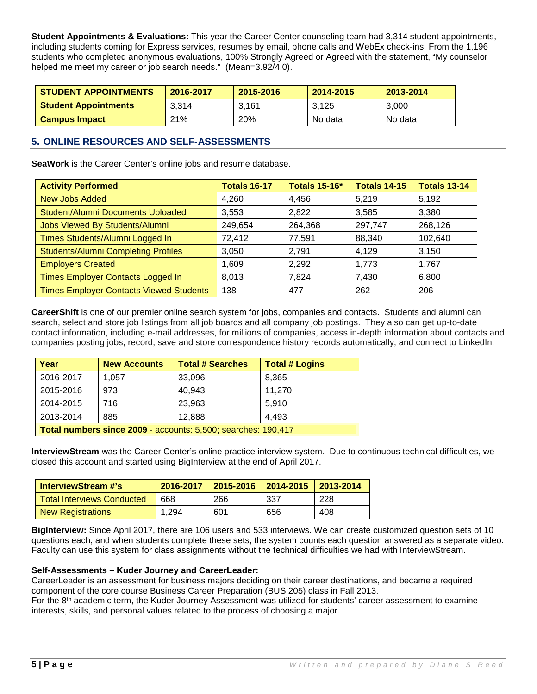**Student Appointments & Evaluations:** This year the Career Center counseling team had 3,314 student appointments, including students coming for Express services, resumes by email, phone calls and WebEx check-ins. From the 1,196 students who completed anonymous evaluations, 100% Strongly Agreed or Agreed with the statement, "My counselor helped me meet my career or job search needs." (Mean=3.92/4.0).

| <b>STUDENT APPOINTMENTS</b> | 2016-2017  | 2015-2016  | 2014-2015 | 2013-2014 |
|-----------------------------|------------|------------|-----------|-----------|
| <b>Student Appointments</b> | 3,314      | 3.161      | 3.125     | 3.000     |
| <b>Campus Impact</b>        | <b>21%</b> | <b>20%</b> | No data   | No data   |

# **5. ONLINE RESOURCES AND SELF-ASSESSMENTS**

**SeaWork** is the Career Center's online jobs and resume database.

| <b>Activity Performed</b>                      | <b>Totals 16-17</b> | <b>Totals 15-16*</b> | <b>Totals 14-15</b> | <b>Totals 13-14</b> |
|------------------------------------------------|---------------------|----------------------|---------------------|---------------------|
| <b>New Jobs Added</b>                          | 4,260               | 4.456                | 5,219               | 5,192               |
| Student/Alumni Documents Uploaded              | 3,553               | 2,822                | 3,585               | 3,380               |
| Jobs Viewed By Students/Alumni                 | 249,654             | 264,368              | 297,747             | 268,126             |
| Times Students/Alumni Logged In                | 72,412              | 77,591               | 88,340              | 102,640             |
| <b>Students/Alumni Completing Profiles</b>     | 3,050               | 2,791                | 4,129               | 3,150               |
| <b>Employers Created</b>                       | 1.609               | 2,292                | 1,773               | 1,767               |
| Times Employer Contacts Logged In              | 8,013               | 7,824                | 7,430               | 6,800               |
| <b>Times Employer Contacts Viewed Students</b> | 138                 | 477                  | 262                 | 206                 |

**CareerShift** is one of our premier online search system for jobs, companies and contacts. Students and alumni can search, select and store job listings from all job boards and all company job postings. They also can get up-to-date contact information, including e-mail addresses, for millions of companies, access in-depth information about contacts and companies posting jobs, record, save and store correspondence history records automatically, and connect to LinkedIn.

| Year                                                          | <b>New Accounts</b> | <b>Total # Searches</b> | <b>Total # Logins</b> |
|---------------------------------------------------------------|---------------------|-------------------------|-----------------------|
| 2016-2017                                                     | 1.057               | 33,096                  | 8,365                 |
| 2015-2016                                                     | 973                 | 40,943                  | 11,270                |
| 2014-2015                                                     | 716                 | 23,963                  | 5.910                 |
| 2013-2014                                                     | 885                 | 12,888                  | 4.493                 |
| Total numbers since 2009 - accounts: 5,500; searches: 190,417 |                     |                         |                       |

**InterviewStream** was the Career Center's online practice interview system. Due to continuous technical difficulties, we closed this account and started using BigInterview at the end of April 2017.

| InterviewStream #'s        |       | 2016-2017 2015-2016 2014-2015 |      | $\mid$ 2013-2014 |
|----------------------------|-------|-------------------------------|------|------------------|
| Total Interviews Conducted | 668   | 266                           | -337 | 228              |
| <b>New Registrations</b>   | 1.294 | 601                           | 656  | 408              |

**BigInterview:** Since April 2017, there are 106 users and 533 interviews. We can create customized question sets of 10 questions each, and when students complete these sets, the system counts each question answered as a separate video. Faculty can use this system for class assignments without the technical difficulties we had with InterviewStream.

#### **Self-Assessments – Kuder Journey and CareerLeader:**

CareerLeader is an assessment for business majors deciding on their career destinations, and became a required component of the core course Business Career Preparation (BUS 205) class in Fall 2013.

For the 8<sup>th</sup> academic term, the Kuder Journey Assessment was utilized for students' career assessment to examine interests, skills, and personal values related to the process of choosing a major.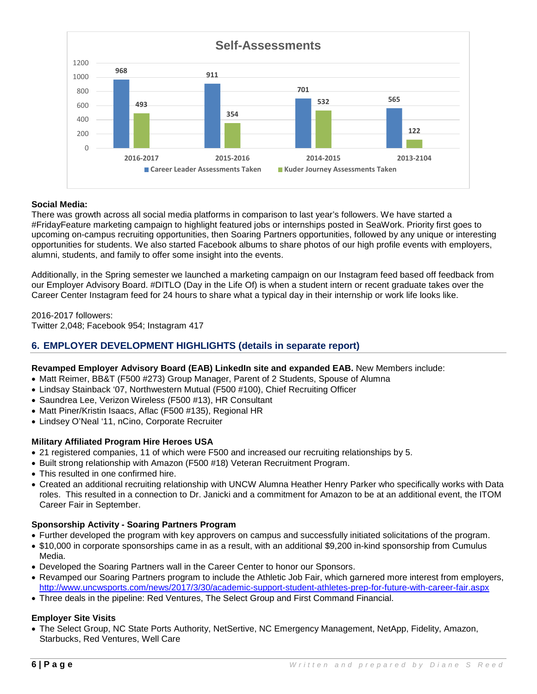

### **Social Media:**

There was growth across all social media platforms in comparison to last year's followers. We have started a #FridayFeature marketing campaign to highlight featured jobs or internships posted in SeaWork. Priority first goes to upcoming on-campus recruiting opportunities, then Soaring Partners opportunities, followed by any unique or interesting opportunities for students. We also started Facebook albums to share photos of our high profile events with employers, alumni, students, and family to offer some insight into the events.

Additionally, in the Spring semester we launched a marketing campaign on our Instagram feed based off feedback from our Employer Advisory Board. #DITLO (Day in the Life Of) is when a student intern or recent graduate takes over the Career Center Instagram feed for 24 hours to share what a typical day in their internship or work life looks like.

2016-2017 followers: Twitter 2,048; Facebook 954; Instagram 417

### **6. EMPLOYER DEVELOPMENT HIGHLIGHTS (details in separate report)**

#### **Revamped Employer Advisory Board (EAB) LinkedIn site and expanded EAB.** New Members include:

- Matt Reimer, BB&T (F500 #273) Group Manager, Parent of 2 Students, Spouse of Alumna
- Lindsay Stainback '07, Northwestern Mutual (F500 #100), Chief Recruiting Officer
- Saundrea Lee, Verizon Wireless (F500 #13), HR Consultant
- Matt Piner/Kristin Isaacs, Aflac (F500 #135), Regional HR
- Lindsey O'Neal '11, nCino, Corporate Recruiter

### **Military Affiliated Program Hire Heroes USA**

- 21 registered companies, 11 of which were F500 and increased our recruiting relationships by 5.
- Built strong relationship with Amazon (F500 #18) Veteran Recruitment Program.
- This resulted in one confirmed hire.
- Created an additional recruiting relationship with UNCW Alumna Heather Henry Parker who specifically works with Data roles. This resulted in a connection to Dr. Janicki and a commitment for Amazon to be at an additional event, the ITOM Career Fair in September.

#### **Sponsorship Activity - Soaring Partners Program**

- Further developed the program with key approvers on campus and successfully initiated solicitations of the program.
- \$10,000 in corporate sponsorships came in as a result, with an additional \$9,200 in-kind sponsorship from Cumulus Media.
- Developed the Soaring Partners wall in the Career Center to honor our Sponsors.
- Revamped our Soaring Partners program to include the Athletic Job Fair, which garnered more interest from employers, <http://www.uncwsports.com/news/2017/3/30/academic-support-student-athletes-prep-for-future-with-career-fair.aspx>
- Three deals in the pipeline: Red Ventures, The Select Group and First Command Financial.

### **Employer Site Visits**

• The Select Group, NC State Ports Authority, NetSertive, NC Emergency Management, NetApp, Fidelity, Amazon, Starbucks, Red Ventures, Well Care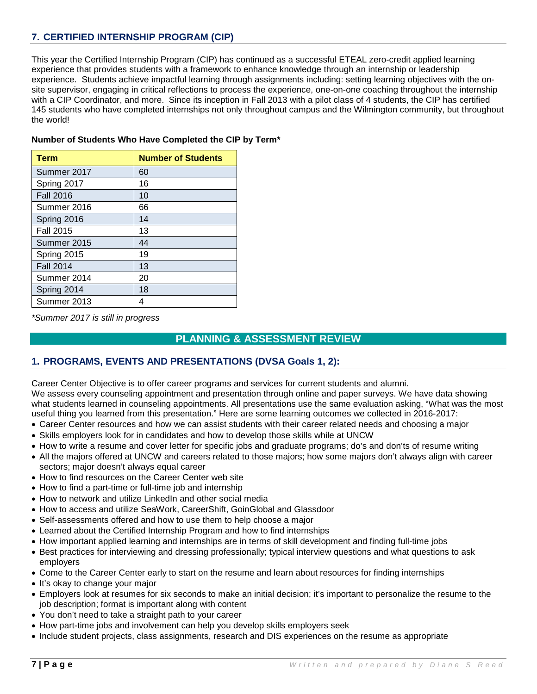# **7. CERTIFIED INTERNSHIP PROGRAM (CIP)**

This year the Certified Internship Program (CIP) has continued as a successful ETEAL zero-credit applied learning experience that provides students with a framework to enhance knowledge through an internship or leadership experience. Students achieve impactful learning through assignments including: setting learning objectives with the onsite supervisor, engaging in critical reflections to process the experience, one-on-one coaching throughout the internship with a CIP Coordinator, and more. Since its inception in Fall 2013 with a pilot class of 4 students, the CIP has certified 145 students who have completed internships not only throughout campus and the Wilmington community, but throughout the world!

| <b>Term</b>      | <b>Number of Students</b> |
|------------------|---------------------------|
| Summer 2017      | 60                        |
| Spring 2017      | 16                        |
| <b>Fall 2016</b> | 10                        |
| Summer 2016      | 66                        |
| Spring 2016      | 14                        |
| <b>Fall 2015</b> | 13                        |
| Summer 2015      | 44                        |
| Spring 2015      | 19                        |
| <b>Fall 2014</b> | 13                        |
| Summer 2014      | 20                        |
| Spring 2014      | 18                        |
| Summer 2013      | 4                         |

### **Number of Students Who Have Completed the CIP by Term\***

*\*Summer 2017 is still in progress*

# **PLANNING & ASSESSMENT REVIEW**

# **1. PROGRAMS, EVENTS AND PRESENTATIONS (DVSA Goals 1, 2):**

Career Center Objective is to offer career programs and services for current students and alumni. We assess every counseling appointment and presentation through online and paper surveys. We have data showing what students learned in counseling appointments. All presentations use the same evaluation asking, "What was the most useful thing you learned from this presentation." Here are some learning outcomes we collected in 2016-2017:

- Career Center resources and how we can assist students with their career related needs and choosing a major
- Skills employers look for in candidates and how to develop those skills while at UNCW
- How to write a resume and cover letter for specific jobs and graduate programs; do's and don'ts of resume writing
- All the majors offered at UNCW and careers related to those majors; how some majors don't always align with career sectors; major doesn't always equal career
- How to find resources on the Career Center web site
- How to find a part-time or full-time job and internship
- How to network and utilize LinkedIn and other social media
- How to access and utilize SeaWork, CareerShift, GoinGlobal and Glassdoor
- Self-assessments offered and how to use them to help choose a major
- Learned about the Certified Internship Program and how to find internships
- How important applied learning and internships are in terms of skill development and finding full-time jobs
- Best practices for interviewing and dressing professionally; typical interview questions and what questions to ask employers
- Come to the Career Center early to start on the resume and learn about resources for finding internships
- It's okay to change your major
- Employers look at resumes for six seconds to make an initial decision; it's important to personalize the resume to the job description; format is important along with content
- You don't need to take a straight path to your career
- How part-time jobs and involvement can help you develop skills employers seek
- Include student projects, class assignments, research and DIS experiences on the resume as appropriate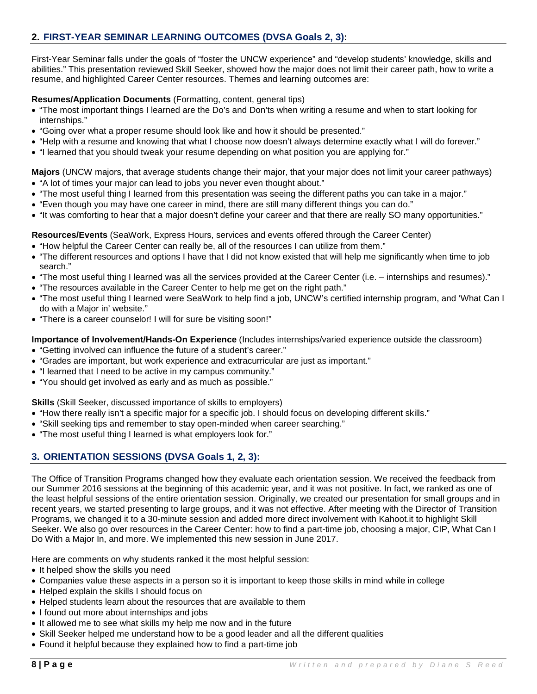# **2. FIRST-YEAR SEMINAR LEARNING OUTCOMES (DVSA Goals 2, 3):**

First-Year Seminar falls under the goals of "foster the UNCW experience" and "develop students' knowledge, skills and abilities." This presentation reviewed Skill Seeker, showed how the major does not limit their career path, how to write a resume, and highlighted Career Center resources. Themes and learning outcomes are:

### **Resumes/Application Documents** (Formatting, content, general tips)

- "The most important things I learned are the Do's and Don'ts when writing a resume and when to start looking for internships."
- "Going over what a proper resume should look like and how it should be presented."
- "Help with a resume and knowing that what I choose now doesn't always determine exactly what I will do forever."
- "I learned that you should tweak your resume depending on what position you are applying for."

**Majors** (UNCW majors, that average students change their major, that your major does not limit your career pathways) • "A lot of times your major can lead to jobs you never even thought about."

- "The most useful thing I learned from this presentation was seeing the different paths you can take in a major."
- "Even though you may have one career in mind, there are still many different things you can do."
- "It was comforting to hear that a major doesn't define your career and that there are really SO many opportunities."

**Resources/Events** (SeaWork, Express Hours, services and events offered through the Career Center)

- "How helpful the Career Center can really be, all of the resources I can utilize from them."
- "The different resources and options I have that I did not know existed that will help me significantly when time to job search."
- "The most useful thing I learned was all the services provided at the Career Center (i.e. internships and resumes)."
- "The resources available in the Career Center to help me get on the right path."
- "The most useful thing I learned were SeaWork to help find a job, UNCW's certified internship program, and 'What Can I do with a Major in' website."
- "There is a career counselor! I will for sure be visiting soon!"

### **Importance of Involvement/Hands-On Experience** (Includes internships/varied experience outside the classroom)

- "Getting involved can influence the future of a student's career."
- "Grades are important, but work experience and extracurricular are just as important."
- "I learned that I need to be active in my campus community."
- "You should get involved as early and as much as possible."

**Skills** (Skill Seeker, discussed importance of skills to employers)

- "How there really isn't a specific major for a specific job. I should focus on developing different skills."
- "Skill seeking tips and remember to stay open-minded when career searching."
- "The most useful thing I learned is what employers look for."

# **3. ORIENTATION SESSIONS (DVSA Goals 1, 2, 3):**

The Office of Transition Programs changed how they evaluate each orientation session. We received the feedback from our Summer 2016 sessions at the beginning of this academic year, and it was not positive. In fact, we ranked as one of the least helpful sessions of the entire orientation session. Originally, we created our presentation for small groups and in recent years, we started presenting to large groups, and it was not effective. After meeting with the Director of Transition Programs, we changed it to a 30-minute session and added more direct involvement with Kahoot.it to highlight Skill Seeker. We also go over resources in the Career Center: how to find a part-time job, choosing a major, CIP, What Can I Do With a Major In, and more. We implemented this new session in June 2017.

Here are comments on why students ranked it the most helpful session:

- It helped show the skills you need
- Companies value these aspects in a person so it is important to keep those skills in mind while in college
- Helped explain the skills I should focus on
- Helped students learn about the resources that are available to them
- I found out more about internships and jobs
- It allowed me to see what skills my help me now and in the future
- Skill Seeker helped me understand how to be a good leader and all the different qualities
- Found it helpful because they explained how to find a part-time job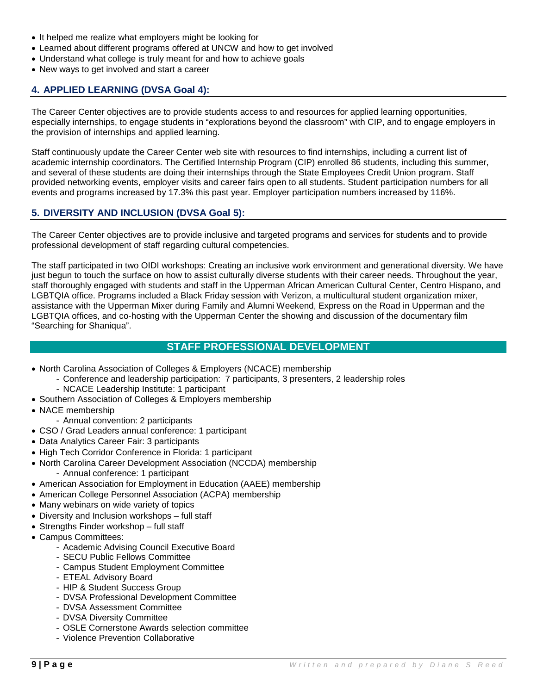- It helped me realize what employers might be looking for
- Learned about different programs offered at UNCW and how to get involved
- Understand what college is truly meant for and how to achieve goals
- New ways to get involved and start a career

### **4. APPLIED LEARNING (DVSA Goal 4):**

The Career Center objectives are to provide students access to and resources for applied learning opportunities, especially internships, to engage students in "explorations beyond the classroom" with CIP, and to engage employers in the provision of internships and applied learning.

Staff continuously update the Career Center web site with resources to find internships, including a current list of academic internship coordinators. The Certified Internship Program (CIP) enrolled 86 students, including this summer, and several of these students are doing their internships through the State Employees Credit Union program. Staff provided networking events, employer visits and career fairs open to all students. Student participation numbers for all events and programs increased by 17.3% this past year. Employer participation numbers increased by 116%.

# **5. DIVERSITY AND INCLUSION (DVSA Goal 5):**

The Career Center objectives are to provide inclusive and targeted programs and services for students and to provide professional development of staff regarding cultural competencies.

The staff participated in two OIDI workshops: Creating an inclusive work environment and generational diversity. We have just begun to touch the surface on how to assist culturally diverse students with their career needs. Throughout the year, staff thoroughly engaged with students and staff in the Upperman African American Cultural Center, Centro Hispano, and LGBTQIA office. Programs included a Black Friday session with Verizon, a multicultural student organization mixer, assistance with the Upperman Mixer during Family and Alumni Weekend, Express on the Road in Upperman and the LGBTQIA offices, and co-hosting with the Upperman Center the showing and discussion of the documentary film "Searching for Shaniqua".

### **STAFF PROFESSIONAL DEVELOPMENT**

- North Carolina Association of Colleges & Employers (NCACE) membership
	- Conference and leadership participation: 7 participants, 3 presenters, 2 leadership roles
	- NCACE Leadership Institute: 1 participant
- Southern Association of Colleges & Employers membership
- NACE membership
	- Annual convention: 2 participants
- CSO / Grad Leaders annual conference: 1 participant
- Data Analytics Career Fair: 3 participants
- High Tech Corridor Conference in Florida: 1 participant
- North Carolina Career Development Association (NCCDA) membership - Annual conference: 1 participant
- American Association for Employment in Education (AAEE) membership
- American College Personnel Association (ACPA) membership
- Many webinars on wide variety of topics
- Diversity and Inclusion workshops full staff
- Strengths Finder workshop full staff
- Campus Committees:
	- Academic Advising Council Executive Board
	- SECU Public Fellows Committee
	- Campus Student Employment Committee
	- ETEAL Advisory Board
	- HIP & Student Success Group
	- DVSA Professional Development Committee
	- DVSA Assessment Committee
	- DVSA Diversity Committee
	- OSLE Cornerstone Awards selection committee
	- Violence Prevention Collaborative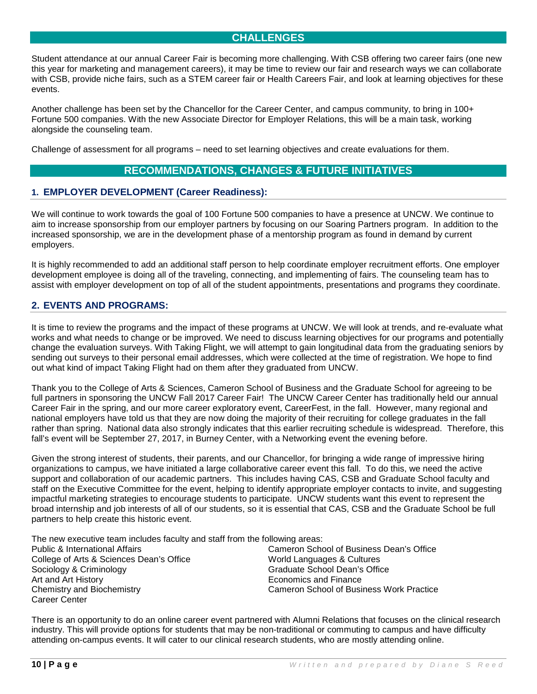# **CHALLENGES**

Student attendance at our annual Career Fair is becoming more challenging. With CSB offering two career fairs (one new this year for marketing and management careers), it may be time to review our fair and research ways we can collaborate with CSB, provide niche fairs, such as a STEM career fair or Health Careers Fair, and look at learning objectives for these events.

Another challenge has been set by the Chancellor for the Career Center, and campus community, to bring in 100+ Fortune 500 companies. With the new Associate Director for Employer Relations, this will be a main task, working alongside the counseling team.

Challenge of assessment for all programs – need to set learning objectives and create evaluations for them.

# **RECOMMENDATIONS, CHANGES & FUTURE INITIATIVES**

### **1. EMPLOYER DEVELOPMENT (Career Readiness):**

We will continue to work towards the goal of 100 Fortune 500 companies to have a presence at UNCW. We continue to aim to increase sponsorship from our employer partners by focusing on our Soaring Partners program. In addition to the increased sponsorship, we are in the development phase of a mentorship program as found in demand by current employers.

It is highly recommended to add an additional staff person to help coordinate employer recruitment efforts. One employer development employee is doing all of the traveling, connecting, and implementing of fairs. The counseling team has to assist with employer development on top of all of the student appointments, presentations and programs they coordinate.

# **2. EVENTS AND PROGRAMS:**

It is time to review the programs and the impact of these programs at UNCW. We will look at trends, and re-evaluate what works and what needs to change or be improved. We need to discuss learning objectives for our programs and potentially change the evaluation surveys. With Taking Flight, we will attempt to gain longitudinal data from the graduating seniors by sending out surveys to their personal email addresses, which were collected at the time of registration. We hope to find out what kind of impact Taking Flight had on them after they graduated from UNCW.

Thank you to the College of Arts & Sciences, Cameron School of Business and the Graduate School for agreeing to be full partners in sponsoring the UNCW Fall 2017 Career Fair! The UNCW Career Center has traditionally held our annual Career Fair in the spring, and our more career exploratory event, CareerFest, in the fall. However, many regional and national employers have told us that they are now doing the majority of their recruiting for college graduates in the fall rather than spring. National data also strongly indicates that this earlier recruiting schedule is widespread. Therefore, this fall's event will be September 27, 2017, in Burney Center, with a Networking event the evening before.

Given the strong interest of students, their parents, and our Chancellor, for bringing a wide range of impressive hiring organizations to campus, we have initiated a large collaborative career event this fall. To do this, we need the active support and collaboration of our academic partners. This includes having CAS, CSB and Graduate School faculty and staff on the Executive Committee for the event, helping to identify appropriate employer contacts to invite, and suggesting impactful marketing strategies to encourage students to participate. UNCW students want this event to represent the broad internship and job interests of all of our students, so it is essential that CAS, CSB and the Graduate School be full partners to help create this historic event.

The new executive team includes faculty and staff from the following areas:<br>Public & International Affairs [1994] Cameron Scho

College of Arts & Sciences Dean's Office World Languages & Cultures Sociology & Criminology<br>
Art and Art History<br>
Art and Art History<br>
Graduate School Dean's Office<br>
Economics and Finance Career Center

Cameron School of Business Dean's Office Economics and Finance Chemistry and Biochemistry Cameron School of Business Work Practice

There is an opportunity to do an online career event partnered with Alumni Relations that focuses on the clinical research industry. This will provide options for students that may be non-traditional or commuting to campus and have difficulty attending on-campus events. It will cater to our clinical research students, who are mostly attending online.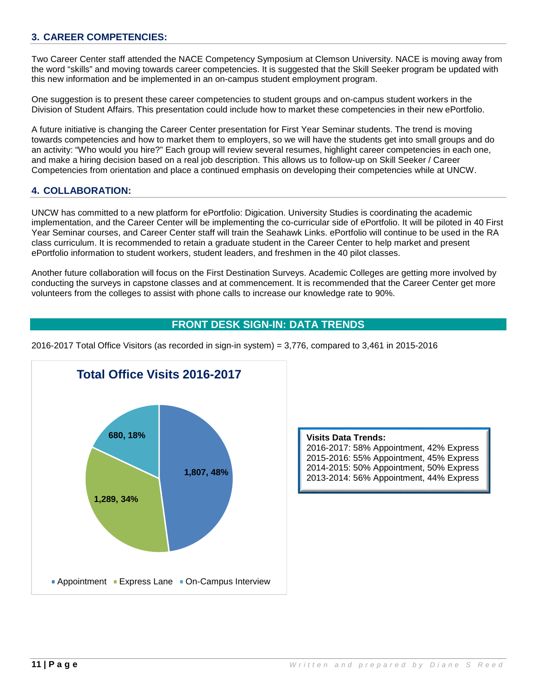# **3. CAREER COMPETENCIES:**

Two Career Center staff attended the NACE Competency Symposium at Clemson University. NACE is moving away from the word "skills" and moving towards career competencies. It is suggested that the Skill Seeker program be updated with this new information and be implemented in an on-campus student employment program.

One suggestion is to present these career competencies to student groups and on-campus student workers in the Division of Student Affairs. This presentation could include how to market these competencies in their new ePortfolio.

A future initiative is changing the Career Center presentation for First Year Seminar students. The trend is moving towards competencies and how to market them to employers, so we will have the students get into small groups and do an activity: "Who would you hire?" Each group will review several resumes, highlight career competencies in each one, and make a hiring decision based on a real job description. This allows us to follow-up on Skill Seeker / Career Competencies from orientation and place a continued emphasis on developing their competencies while at UNCW.

### **4. COLLABORATION:**

UNCW has committed to a new platform for ePortfolio: Digication. University Studies is coordinating the academic implementation, and the Career Center will be implementing the co-curricular side of ePortfolio. It will be piloted in 40 First Year Seminar courses, and Career Center staff will train the Seahawk Links. ePortfolio will continue to be used in the RA class curriculum. It is recommended to retain a graduate student in the Career Center to help market and present ePortfolio information to student workers, student leaders, and freshmen in the 40 pilot classes.

Another future collaboration will focus on the First Destination Surveys. Academic Colleges are getting more involved by conducting the surveys in capstone classes and at commencement. It is recommended that the Career Center get more volunteers from the colleges to assist with phone calls to increase our knowledge rate to 90%.

# **FRONT DESK SIGN-IN: DATA TRENDS**

2016-2017 Total Office Visitors (as recorded in sign-in system) = 3,776, compared to 3,461 in 2015-2016



**Visits Data Trends:** 2016-2017: 58% Appointment, 42% Express 2015-2016: 55% Appointment, 45% Express 2014-2015: 50% Appointment, 50% Express 2013-2014: 56% Appointment, 44% Express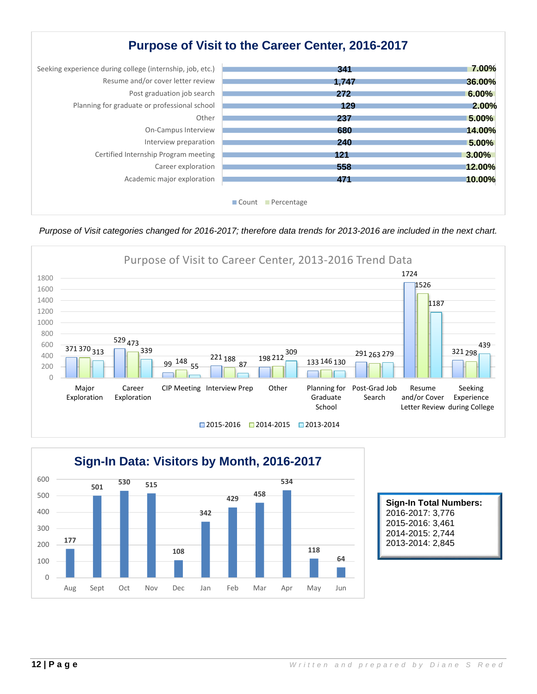# **Purpose of Visit to the Career Center, 2016-2017**

| Seeking experience during college (internship, job, etc.) | 341                          | 7.00%    |
|-----------------------------------------------------------|------------------------------|----------|
| Resume and/or cover letter review                         | 1,747                        | 36.00%   |
| Post graduation job search                                | 272                          | $6.00\%$ |
| Planning for graduate or professional school              | 129                          | 2.00%    |
| Other                                                     | 237                          | $5.00\%$ |
| On-Campus Interview                                       | 680                          | 14.00%   |
| Interview preparation                                     | 240                          | 5.00%    |
| Certified Internship Program meeting                      | 121                          | 3.00%    |
| Career exploration                                        | 558                          | 12.00%   |
| Academic major exploration                                | 471                          | 10.00%   |
|                                                           |                              |          |
|                                                           | <b>■ Count</b><br>Percentage |          |

*Purpose of Visit categories changed for 2016-2017; therefore data trends for 2013-2016 are included in the next chart.*





**Sign-In Total Numbers:** 2016-2017: 3,776 2015-2016: 3,461 2014-2015: 2,744 2013-2014: 2,845